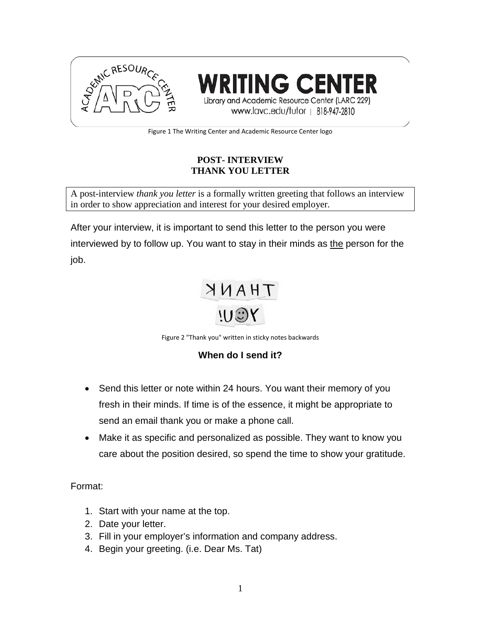



www.lavc.edu/tutor | 818-947-2810

Figure 1 The Writing Center and Academic Resource Center logo

### **POST- INTERVIEW THANK YOU LETTER**

A post-interview *thank you letter* is a formally written greeting that follows an interview in order to show appreciation and interest for your desired employer.

After your interview, it is important to send this letter to the person you were interviewed by to follow up. You want to stay in their minds as the person for the job.

# THANK  $115Y$

Figure 2 "Thank you" written in sticky notes backwards

## **When do I send it?**

- Send this letter or note within 24 hours. You want their memory of you fresh in their minds. If time is of the essence, it might be appropriate to send an email thank you or make a phone call.
- Make it as specific and personalized as possible. They want to know you care about the position desired, so spend the time to show your gratitude.

Format:

- 1. Start with your name at the top.
- 2. Date your letter.
- 3. Fill in your employer's information and company address.
- 4. Begin your greeting. (i.e. Dear Ms. Tat)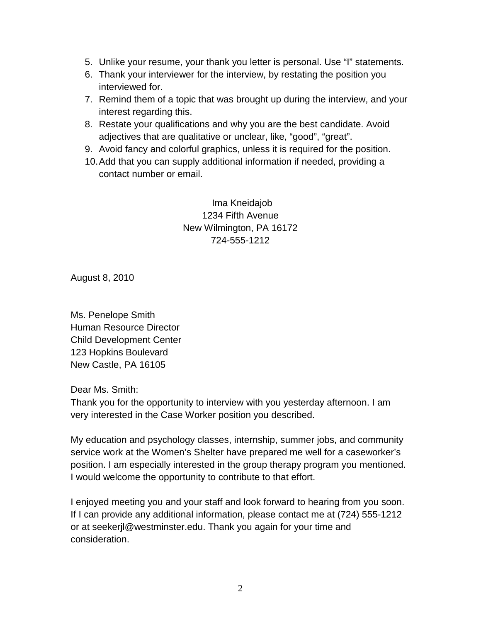- 5. Unlike your resume, your thank you letter is personal. Use "I" statements.
- 6. Thank your interviewer for the interview, by restating the position you interviewed for.
- 7. Remind them of a topic that was brought up during the interview, and your interest regarding this.
- 8. Restate your qualifications and why you are the best candidate. Avoid adjectives that are qualitative or unclear, like, "good", "great".
- 9. Avoid fancy and colorful graphics, unless it is required for the position.
- 10.Add that you can supply additional information if needed, providing a contact number or email.

Ima Kneidajob 1234 Fifth Avenue New Wilmington, PA 16172 724-555-1212

August 8, 2010

Ms. Penelope Smith Human Resource Director Child Development Center 123 Hopkins Boulevard New Castle, PA 16105

Dear Ms. Smith:

Thank you for the opportunity to interview with you yesterday afternoon. I am very interested in the Case Worker position you described.

My education and psychology classes, internship, summer jobs, and community service work at the Women's Shelter have prepared me well for a caseworker's position. I am especially interested in the group therapy program you mentioned. I would welcome the opportunity to contribute to that effort.

I enjoyed meeting you and your staff and look forward to hearing from you soon. If I can provide any additional information, please contact me at (724) 555-1212 or at seekerjl@westminster.edu. Thank you again for your time and consideration.